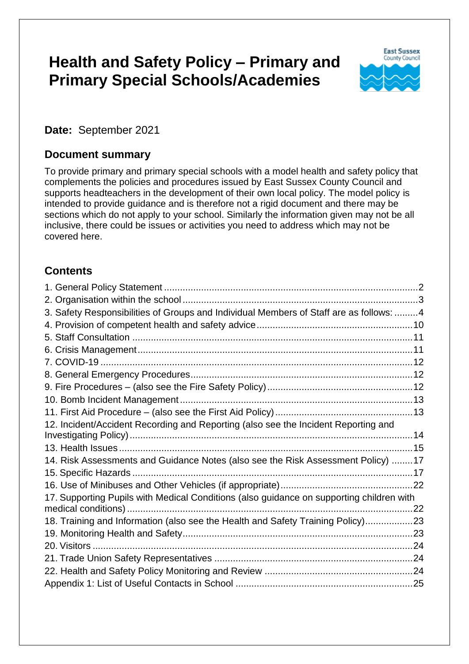# **Health and Safety Policy – Primary and Primary Special Schools/Academies**



**Date:** September 2021

#### **Document summary**

To provide primary and primary special schools with a model health and safety policy that complements the policies and procedures issued by East Sussex County Council and supports headteachers in the development of their own local policy. The model policy is intended to provide guidance and is therefore not a rigid document and there may be sections which do not apply to your school. Similarly the information given may not be all inclusive, there could be issues or activities you need to address which may not be covered here.

### **Contents**

| 3. Safety Responsibilities of Groups and Individual Members of Staff are as follows: 4   |  |
|------------------------------------------------------------------------------------------|--|
|                                                                                          |  |
|                                                                                          |  |
|                                                                                          |  |
|                                                                                          |  |
|                                                                                          |  |
|                                                                                          |  |
|                                                                                          |  |
|                                                                                          |  |
| 12. Incident/Accident Recording and Reporting (also see the Incident Reporting and       |  |
|                                                                                          |  |
|                                                                                          |  |
| 14. Risk Assessments and Guidance Notes (also see the Risk Assessment Policy) 17         |  |
|                                                                                          |  |
|                                                                                          |  |
| 17. Supporting Pupils with Medical Conditions (also guidance on supporting children with |  |
|                                                                                          |  |
| 18. Training and Information (also see the Health and Safety Training Policy)23          |  |
|                                                                                          |  |
| 20. Visitors                                                                             |  |
|                                                                                          |  |
|                                                                                          |  |
|                                                                                          |  |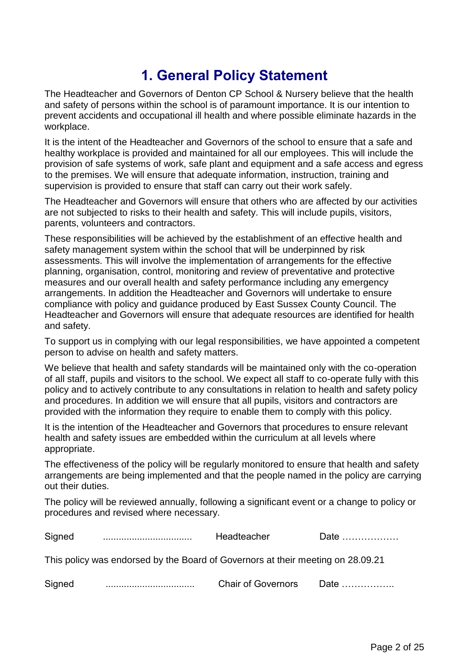# **1. General Policy Statement**

<span id="page-1-0"></span>The Headteacher and Governors of Denton CP School & Nursery believe that the health and safety of persons within the school is of paramount importance. It is our intention to prevent accidents and occupational ill health and where possible eliminate hazards in the workplace.

It is the intent of the Headteacher and Governors of the school to ensure that a safe and healthy workplace is provided and maintained for all our employees. This will include the provision of safe systems of work, safe plant and equipment and a safe access and egress to the premises. We will ensure that adequate information, instruction, training and supervision is provided to ensure that staff can carry out their work safely.

The Headteacher and Governors will ensure that others who are affected by our activities are not subjected to risks to their health and safety. This will include pupils, visitors, parents, volunteers and contractors.

These responsibilities will be achieved by the establishment of an effective health and safety management system within the school that will be underpinned by risk assessments. This will involve the implementation of arrangements for the effective planning, organisation, control, monitoring and review of preventative and protective measures and our overall health and safety performance including any emergency arrangements. In addition the Headteacher and Governors will undertake to ensure compliance with policy and guidance produced by East Sussex County Council. The Headteacher and Governors will ensure that adequate resources are identified for health and safety.

To support us in complying with our legal responsibilities, we have appointed a competent person to advise on health and safety matters.

We believe that health and safety standards will be maintained only with the co-operation of all staff, pupils and visitors to the school. We expect all staff to co-operate fully with this policy and to actively contribute to any consultations in relation to health and safety policy and procedures. In addition we will ensure that all pupils, visitors and contractors are provided with the information they require to enable them to comply with this policy.

It is the intention of the Headteacher and Governors that procedures to ensure relevant health and safety issues are embedded within the curriculum at all levels where appropriate.

The effectiveness of the policy will be regularly monitored to ensure that health and safety arrangements are being implemented and that the people named in the policy are carrying out their duties.

The policy will be reviewed annually, following a significant event or a change to policy or procedures and revised where necessary.

| Signed                                                                          |  | Headteacher               | Date          |  |  |
|---------------------------------------------------------------------------------|--|---------------------------|---------------|--|--|
| This policy was endorsed by the Board of Governors at their meeting on 28.09.21 |  |                           |               |  |  |
| Signed                                                                          |  | <b>Chair of Governors</b> | Date $\ldots$ |  |  |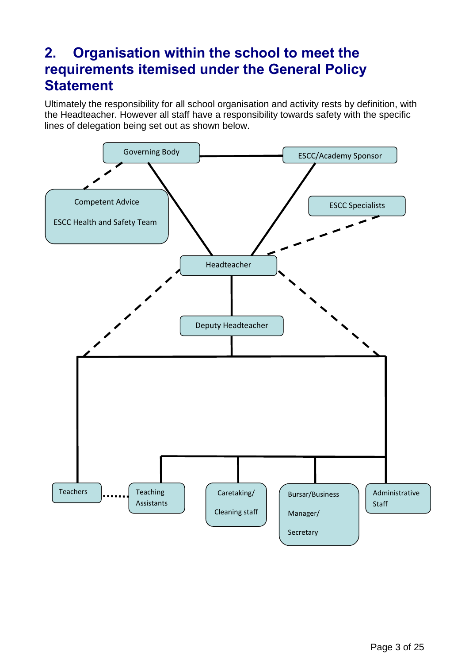## <span id="page-2-0"></span>**2. Organisation within the school to meet the requirements itemised under the General Policy Statement**

Ultimately the responsibility for all school organisation and activity rests by definition, with the Headteacher. However all staff have a responsibility towards safety with the specific lines of delegation being set out as shown below.

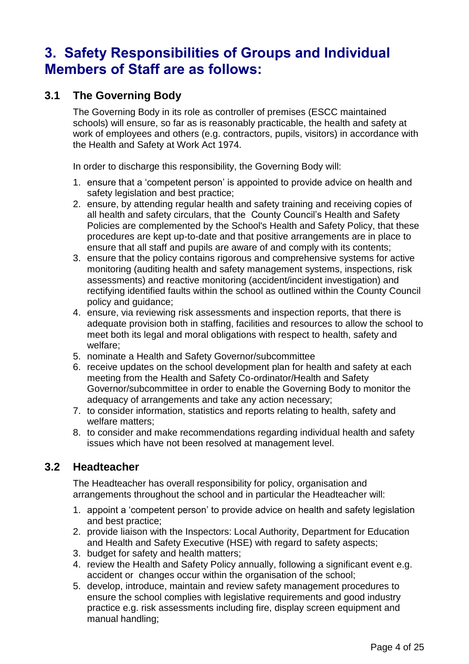## <span id="page-3-0"></span>**3. Safety Responsibilities of Groups and Individual Members of Staff are as follows:**

#### **3.1 The Governing Body**

The Governing Body in its role as controller of premises (ESCC maintained schools) will ensure, so far as is reasonably practicable, the health and safety at work of employees and others (e.g. contractors, pupils, visitors) in accordance with the Health and Safety at Work Act 1974.

In order to discharge this responsibility, the Governing Body will:

- 1. ensure that a 'competent person' is appointed to provide advice on health and safety legislation and best practice;
- 2. ensure, by attending regular health and safety training and receiving copies of all health and safety circulars, that the County Council's Health and Safety Policies are complemented by the School's Health and Safety Policy, that these procedures are kept up-to-date and that positive arrangements are in place to ensure that all staff and pupils are aware of and comply with its contents;
- 3. ensure that the policy contains rigorous and comprehensive systems for active monitoring (auditing health and safety management systems, inspections, risk assessments) and reactive monitoring (accident/incident investigation) and rectifying identified faults within the school as outlined within the County Council policy and guidance;
- 4. ensure, via reviewing risk assessments and inspection reports, that there is adequate provision both in staffing, facilities and resources to allow the school to meet both its legal and moral obligations with respect to health, safety and welfare;
- 5. nominate a Health and Safety Governor/subcommittee
- 6. receive updates on the school development plan for health and safety at each meeting from the Health and Safety Co-ordinator/Health and Safety Governor/subcommittee in order to enable the Governing Body to monitor the adequacy of arrangements and take any action necessary;
- 7. to consider information, statistics and reports relating to health, safety and welfare matters;
- 8. to consider and make recommendations regarding individual health and safety issues which have not been resolved at management level.

#### **3.2 Headteacher**

The Headteacher has overall responsibility for policy, organisation and arrangements throughout the school and in particular the Headteacher will:

- 1. appoint a 'competent person' to provide advice on health and safety legislation and best practice;
- 2. provide liaison with the Inspectors: Local Authority, Department for Education and Health and Safety Executive (HSE) with regard to safety aspects;
- 3. budget for safety and health matters;
- 4. review the Health and Safety Policy annually, following a significant event e.g. accident or changes occur within the organisation of the school;
- 5. develop, introduce, maintain and review safety management procedures to ensure the school complies with legislative requirements and good industry practice e.g. risk assessments including fire, display screen equipment and manual handling;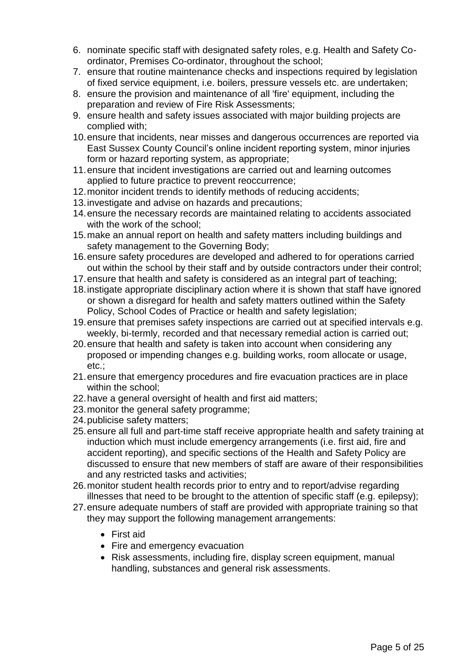- 6. nominate specific staff with designated safety roles, e.g. Health and Safety Coordinator, Premises Co-ordinator, throughout the school;
- 7. ensure that routine maintenance checks and inspections required by legislation of fixed service equipment, i.e. boilers, pressure vessels etc. are undertaken;
- 8. ensure the provision and maintenance of all 'fire' equipment, including the preparation and review of Fire Risk Assessments;
- 9. ensure health and safety issues associated with major building projects are complied with;
- 10.ensure that incidents, near misses and dangerous occurrences are reported via East Sussex County Council's online incident reporting system, minor injuries form or hazard reporting system, as appropriate;
- 11.ensure that incident investigations are carried out and learning outcomes applied to future practice to prevent reoccurrence;
- 12.monitor incident trends to identify methods of reducing accidents;
- 13.investigate and advise on hazards and precautions;
- 14.ensure the necessary records are maintained relating to accidents associated with the work of the school;
- 15.make an annual report on health and safety matters including buildings and safety management to the Governing Body;
- 16.ensure safety procedures are developed and adhered to for operations carried out within the school by their staff and by outside contractors under their control;
- 17.ensure that health and safety is considered as an integral part of teaching;
- 18.instigate appropriate disciplinary action where it is shown that staff have ignored or shown a disregard for health and safety matters outlined within the Safety Policy, School Codes of Practice or health and safety legislation;
- 19.ensure that premises safety inspections are carried out at specified intervals e.g. weekly, bi-termly, recorded and that necessary remedial action is carried out;
- 20.ensure that health and safety is taken into account when considering any proposed or impending changes e.g. building works, room allocate or usage, etc.;
- 21.ensure that emergency procedures and fire evacuation practices are in place within the school;
- 22.have a general oversight of health and first aid matters;
- 23.monitor the general safety programme;
- 24.publicise safety matters;
- 25.ensure all full and part-time staff receive appropriate health and safety training at induction which must include emergency arrangements (i.e. first aid, fire and accident reporting), and specific sections of the Health and Safety Policy are discussed to ensure that new members of staff are aware of their responsibilities and any restricted tasks and activities;
- 26.monitor student health records prior to entry and to report/advise regarding illnesses that need to be brought to the attention of specific staff (e.g. epilepsy);
- 27.ensure adequate numbers of staff are provided with appropriate training so that they may support the following management arrangements:
	- First aid
	- Fire and emergency evacuation
	- Risk assessments, including fire, display screen equipment, manual handling, substances and general risk assessments.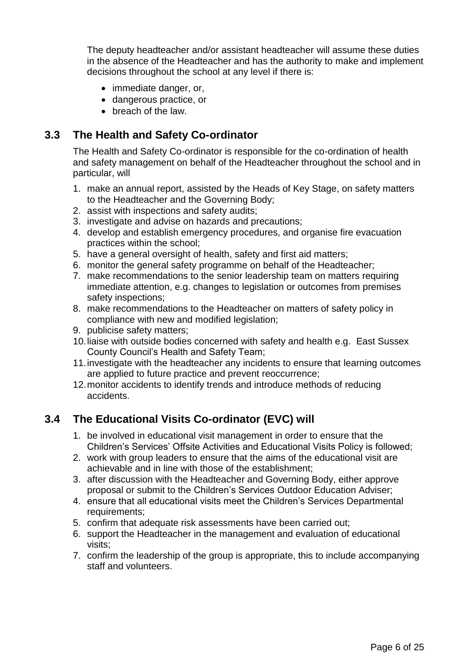The deputy headteacher and/or assistant headteacher will assume these duties in the absence of the Headteacher and has the authority to make and implement decisions throughout the school at any level if there is:

- immediate danger, or,
- dangerous practice, or
- breach of the law.

#### **3.3 The Health and Safety Co-ordinator**

The Health and Safety Co-ordinator is responsible for the co-ordination of health and safety management on behalf of the Headteacher throughout the school and in particular, will

- 1. make an annual report, assisted by the Heads of Key Stage, on safety matters to the Headteacher and the Governing Body;
- 2. assist with inspections and safety audits;
- 3. investigate and advise on hazards and precautions;
- 4. develop and establish emergency procedures, and organise fire evacuation practices within the school;
- 5. have a general oversight of health, safety and first aid matters;
- 6. monitor the general safety programme on behalf of the Headteacher;
- 7. make recommendations to the senior leadership team on matters requiring immediate attention, e.g. changes to legislation or outcomes from premises safety inspections;
- 8. make recommendations to the Headteacher on matters of safety policy in compliance with new and modified legislation;
- 9. publicise safety matters;
- 10.liaise with outside bodies concerned with safety and health e.g. East Sussex County Council's Health and Safety Team;
- 11.investigate with the headteacher any incidents to ensure that learning outcomes are applied to future practice and prevent reoccurrence;
- 12.monitor accidents to identify trends and introduce methods of reducing accidents.

### **3.4 The Educational Visits Co-ordinator (EVC) will**

- 1. be involved in educational visit management in order to ensure that the Children's Services' Offsite Activities and Educational Visits Policy is followed;
- 2. work with group leaders to ensure that the aims of the educational visit are achievable and in line with those of the establishment;
- 3. after discussion with the Headteacher and Governing Body, either approve proposal or submit to the Children's Services Outdoor Education Adviser;
- 4. ensure that all educational visits meet the Children's Services Departmental requirements;
- 5. confirm that adequate risk assessments have been carried out;
- 6. support the Headteacher in the management and evaluation of educational visits;
- 7. confirm the leadership of the group is appropriate, this to include accompanying staff and volunteers.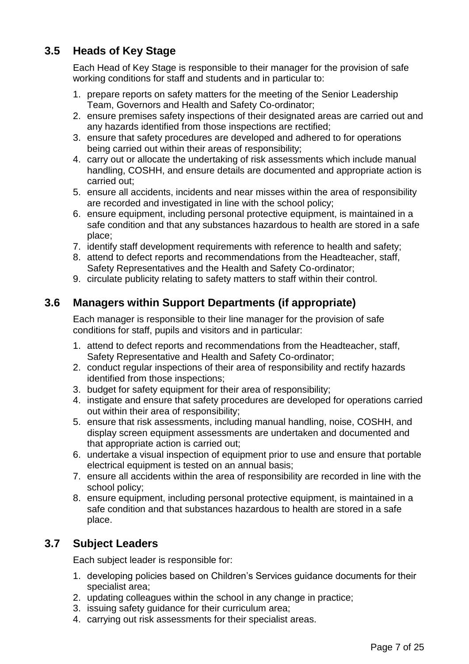### **3.5 Heads of Key Stage**

Each Head of Key Stage is responsible to their manager for the provision of safe working conditions for staff and students and in particular to:

- 1. prepare reports on safety matters for the meeting of the Senior Leadership Team, Governors and Health and Safety Co-ordinator;
- 2. ensure premises safety inspections of their designated areas are carried out and any hazards identified from those inspections are rectified;
- 3. ensure that safety procedures are developed and adhered to for operations being carried out within their areas of responsibility;
- 4. carry out or allocate the undertaking of risk assessments which include manual handling, COSHH, and ensure details are documented and appropriate action is carried out;
- 5. ensure all accidents, incidents and near misses within the area of responsibility are recorded and investigated in line with the school policy;
- 6. ensure equipment, including personal protective equipment, is maintained in a safe condition and that any substances hazardous to health are stored in a safe place;
- 7. identify staff development requirements with reference to health and safety;
- 8. attend to defect reports and recommendations from the Headteacher, staff, Safety Representatives and the Health and Safety Co-ordinator;
- 9. circulate publicity relating to safety matters to staff within their control.

#### **3.6 Managers within Support Departments (if appropriate)**

Each manager is responsible to their line manager for the provision of safe conditions for staff, pupils and visitors and in particular:

- 1. attend to defect reports and recommendations from the Headteacher, staff, Safety Representative and Health and Safety Co-ordinator;
- 2. conduct regular inspections of their area of responsibility and rectify hazards identified from those inspections;
- 3. budget for safety equipment for their area of responsibility;
- 4. instigate and ensure that safety procedures are developed for operations carried out within their area of responsibility;
- 5. ensure that risk assessments, including manual handling, noise, COSHH, and display screen equipment assessments are undertaken and documented and that appropriate action is carried out;
- 6. undertake a visual inspection of equipment prior to use and ensure that portable electrical equipment is tested on an annual basis;
- 7. ensure all accidents within the area of responsibility are recorded in line with the school policy;
- 8. ensure equipment, including personal protective equipment, is maintained in a safe condition and that substances hazardous to health are stored in a safe place.

#### **3.7 Subject Leaders**

Each subject leader is responsible for:

- 1. developing policies based on Children's Services guidance documents for their specialist area;
- 2. updating colleagues within the school in any change in practice;
- 3. issuing safety guidance for their curriculum area;
- 4. carrying out risk assessments for their specialist areas.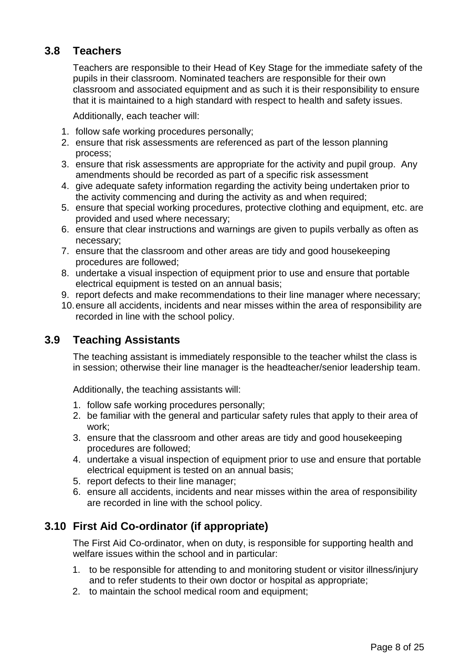#### **3.8 Teachers**

Teachers are responsible to their Head of Key Stage for the immediate safety of the pupils in their classroom. Nominated teachers are responsible for their own classroom and associated equipment and as such it is their responsibility to ensure that it is maintained to a high standard with respect to health and safety issues.

Additionally, each teacher will:

- 1. follow safe working procedures personally;
- 2. ensure that risk assessments are referenced as part of the lesson planning process;
- 3. ensure that risk assessments are appropriate for the activity and pupil group. Any amendments should be recorded as part of a specific risk assessment
- 4. give adequate safety information regarding the activity being undertaken prior to the activity commencing and during the activity as and when required;
- 5. ensure that special working procedures, protective clothing and equipment, etc. are provided and used where necessary;
- 6. ensure that clear instructions and warnings are given to pupils verbally as often as necessary;
- 7. ensure that the classroom and other areas are tidy and good housekeeping procedures are followed;
- 8. undertake a visual inspection of equipment prior to use and ensure that portable electrical equipment is tested on an annual basis;
- 9. report defects and make recommendations to their line manager where necessary;
- 10.ensure all accidents, incidents and near misses within the area of responsibility are recorded in line with the school policy.

#### **3.9 Teaching Assistants**

The teaching assistant is immediately responsible to the teacher whilst the class is in session; otherwise their line manager is the headteacher/senior leadership team.

Additionally, the teaching assistants will:

- 1. follow safe working procedures personally;
- 2. be familiar with the general and particular safety rules that apply to their area of work;
- 3. ensure that the classroom and other areas are tidy and good housekeeping procedures are followed;
- 4. undertake a visual inspection of equipment prior to use and ensure that portable electrical equipment is tested on an annual basis;
- 5. report defects to their line manager;
- 6. ensure all accidents, incidents and near misses within the area of responsibility are recorded in line with the school policy.

#### **3.10 First Aid Co-ordinator (if appropriate)**

The First Aid Co-ordinator, when on duty, is responsible for supporting health and welfare issues within the school and in particular:

- 1. to be responsible for attending to and monitoring student or visitor illness/injury and to refer students to their own doctor or hospital as appropriate;
- 2. to maintain the school medical room and equipment;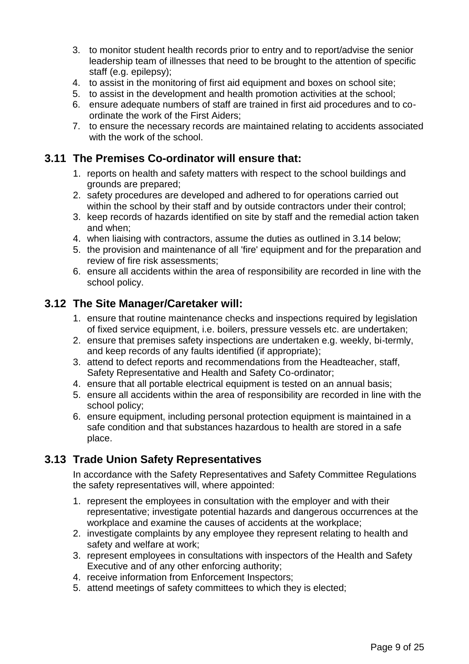- 3. to monitor student health records prior to entry and to report/advise the senior leadership team of illnesses that need to be brought to the attention of specific staff (e.g. epilepsy);
- 4. to assist in the monitoring of first aid equipment and boxes on school site;
- 5. to assist in the development and health promotion activities at the school;
- 6. ensure adequate numbers of staff are trained in first aid procedures and to coordinate the work of the First Aiders;
- 7. to ensure the necessary records are maintained relating to accidents associated with the work of the school.

#### **3.11 The Premises Co-ordinator will ensure that:**

- 1. reports on health and safety matters with respect to the school buildings and grounds are prepared;
- 2. safety procedures are developed and adhered to for operations carried out within the school by their staff and by outside contractors under their control;
- 3. keep records of hazards identified on site by staff and the remedial action taken and when;
- 4. when liaising with contractors, assume the duties as outlined in 3.14 below;
- 5. the provision and maintenance of all 'fire' equipment and for the preparation and review of fire risk assessments;
- 6. ensure all accidents within the area of responsibility are recorded in line with the school policy.

#### **3.12 The Site Manager/Caretaker will:**

- 1. ensure that routine maintenance checks and inspections required by legislation of fixed service equipment, i.e. boilers, pressure vessels etc. are undertaken;
- 2. ensure that premises safety inspections are undertaken e.g. weekly, bi-termly, and keep records of any faults identified (if appropriate);
- 3. attend to defect reports and recommendations from the Headteacher, staff, Safety Representative and Health and Safety Co-ordinator;
- 4. ensure that all portable electrical equipment is tested on an annual basis;
- 5. ensure all accidents within the area of responsibility are recorded in line with the school policy;
- 6. ensure equipment, including personal protection equipment is maintained in a safe condition and that substances hazardous to health are stored in a safe place.

#### **3.13 Trade Union Safety Representatives**

In accordance with the Safety Representatives and Safety Committee Regulations the safety representatives will, where appointed:

- 1. represent the employees in consultation with the employer and with their representative; investigate potential hazards and dangerous occurrences at the workplace and examine the causes of accidents at the workplace;
- 2. investigate complaints by any employee they represent relating to health and safety and welfare at work;
- 3. represent employees in consultations with inspectors of the Health and Safety Executive and of any other enforcing authority;
- 4. receive information from Enforcement Inspectors;
- 5. attend meetings of safety committees to which they is elected;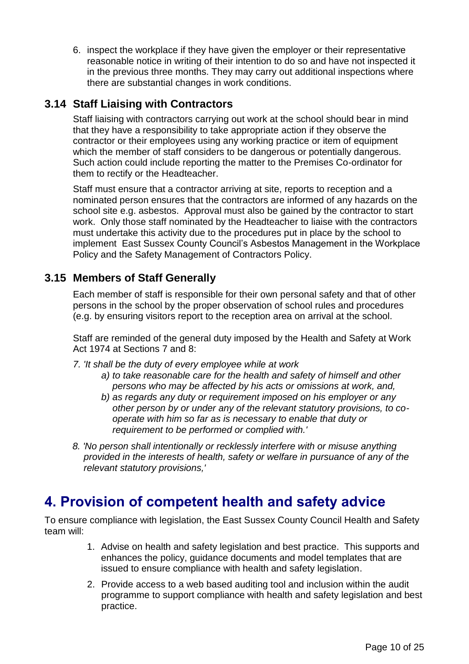6. inspect the workplace if they have given the employer or their representative reasonable notice in writing of their intention to do so and have not inspected it in the previous three months. They may carry out additional inspections where there are substantial changes in work conditions.

#### **3.14 Staff Liaising with Contractors**

Staff liaising with contractors carrying out work at the school should bear in mind that they have a responsibility to take appropriate action if they observe the contractor or their employees using any working practice or item of equipment which the member of staff considers to be dangerous or potentially dangerous. Such action could include reporting the matter to the Premises Co-ordinator for them to rectify or the Headteacher.

Staff must ensure that a contractor arriving at site, reports to reception and a nominated person ensures that the contractors are informed of any hazards on the school site e.g. asbestos. Approval must also be gained by the contractor to start work. Only those staff nominated by the Headteacher to liaise with the contractors must undertake this activity due to the procedures put in place by the school to implement East Sussex County Council's Asbestos Management in the Workplace Policy and the Safety Management of Contractors Policy.

#### **3.15 Members of Staff Generally**

Each member of staff is responsible for their own personal safety and that of other persons in the school by the proper observation of school rules and procedures (e.g. by ensuring visitors report to the reception area on arrival at the school.

Staff are reminded of the general duty imposed by the Health and Safety at Work Act 1974 at Sections 7 and 8:

*7. 'It shall be the duty of every employee while at work*

- *a) to take reasonable care for the health and safety of himself and other persons who may be affected by his acts or omissions at work, and,*
- *b) as regards any duty or requirement imposed on his employer or any other person by or under any of the relevant statutory provisions, to cooperate with him so far as is necessary to enable that duty or requirement to be performed or complied with.'*
- *8. 'No person shall intentionally or recklessly interfere with or misuse anything provided in the interests of health, safety or welfare in pursuance of any of the relevant statutory provisions,'*

## <span id="page-9-0"></span>**4. Provision of competent health and safety advice**

To ensure compliance with legislation, the East Sussex County Council Health and Safety team will:

- 1. Advise on health and safety legislation and best practice. This supports and enhances the policy, guidance documents and model templates that are issued to ensure compliance with health and safety legislation.
- 2. Provide access to a web based auditing tool and inclusion within the audit programme to support compliance with health and safety legislation and best practice.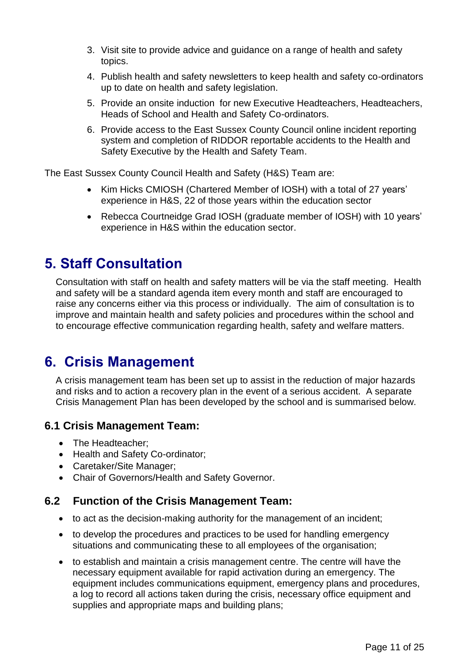- 3. Visit site to provide advice and guidance on a range of health and safety topics.
- 4. Publish health and safety newsletters to keep health and safety co-ordinators up to date on health and safety legislation.
- 5. Provide an onsite induction for new Executive Headteachers, Headteachers, Heads of School and Health and Safety Co-ordinators.
- 6. Provide access to the East Sussex County Council online incident reporting system and completion of RIDDOR reportable accidents to the Health and Safety Executive by the Health and Safety Team.

The East Sussex County Council Health and Safety (H&S) Team are:

- Kim Hicks CMIOSH (Chartered Member of IOSH) with a total of 27 years' experience in H&S, 22 of those years within the education sector
- Rebecca Courtneidge Grad IOSH (graduate member of IOSH) with 10 years' experience in H&S within the education sector.

## <span id="page-10-0"></span>**5. Staff Consultation**

Consultation with staff on health and safety matters will be via the staff meeting. Health and safety will be a standard agenda item every month and staff are encouraged to raise any concerns either via this process or individually. The aim of consultation is to improve and maintain health and safety policies and procedures within the school and to encourage effective communication regarding health, safety and welfare matters.

## <span id="page-10-1"></span>**6. Crisis Management**

A crisis management team has been set up to assist in the reduction of major hazards and risks and to action a recovery plan in the event of a serious accident. A separate Crisis Management Plan has been developed by the school and is summarised below.

#### **6.1 Crisis Management Team:**

- The Headteacher;
- Health and Safety Co-ordinator;
- Caretaker/Site Manager;
- Chair of Governors/Health and Safety Governor.

#### **6.2 Function of the Crisis Management Team:**

- to act as the decision-making authority for the management of an incident;
- to develop the procedures and practices to be used for handling emergency situations and communicating these to all employees of the organisation;
- to establish and maintain a crisis management centre. The centre will have the necessary equipment available for rapid activation during an emergency. The equipment includes communications equipment, emergency plans and procedures, a log to record all actions taken during the crisis, necessary office equipment and supplies and appropriate maps and building plans;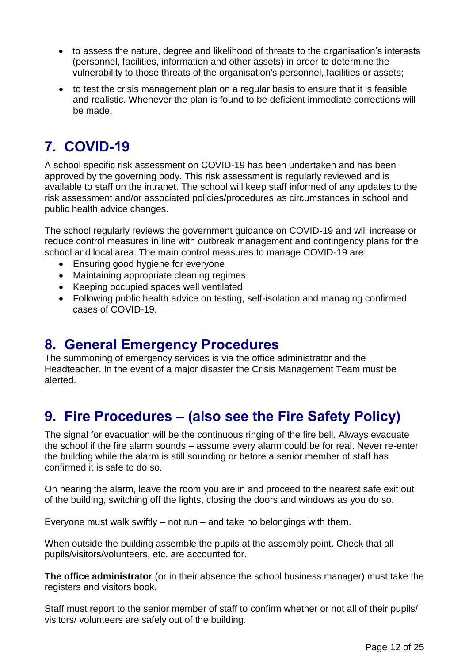- to assess the nature, degree and likelihood of threats to the organisation's interests (personnel, facilities, information and other assets) in order to determine the vulnerability to those threats of the organisation's personnel, facilities or assets;
- to test the crisis management plan on a regular basis to ensure that it is feasible and realistic. Whenever the plan is found to be deficient immediate corrections will be made.

# <span id="page-11-0"></span>**7. COVID-19**

A school specific risk assessment on COVID-19 has been undertaken and has been approved by the governing body. This risk assessment is regularly reviewed and is available to staff on the intranet. The school will keep staff informed of any updates to the risk assessment and/or associated policies/procedures as circumstances in school and public health advice changes.

The school regularly reviews the government guidance on COVID-19 and will increase or reduce control measures in line with outbreak management and contingency plans for the school and local area. The main control measures to manage COVID-19 are:

- Ensuring good hygiene for everyone
- Maintaining appropriate cleaning regimes
- Keeping occupied spaces well ventilated
- Following public health advice on testing, self-isolation and managing confirmed cases of COVID-19.

### <span id="page-11-1"></span>**8. General Emergency Procedures**

The summoning of emergency services is via the office administrator and the Headteacher. In the event of a major disaster the Crisis Management Team must be alerted.

## <span id="page-11-2"></span>**9. Fire Procedures – (also see the Fire Safety Policy)**

The signal for evacuation will be the continuous ringing of the fire bell. Always evacuate the school if the fire alarm sounds – assume every alarm could be for real. Never re-enter the building while the alarm is still sounding or before a senior member of staff has confirmed it is safe to do so.

On hearing the alarm, leave the room you are in and proceed to the nearest safe exit out of the building, switching off the lights, closing the doors and windows as you do so.

Everyone must walk swiftly  $-$  not run  $-$  and take no belongings with them.

When outside the building assemble the pupils at the assembly point. Check that all pupils/visitors/volunteers, etc. are accounted for.

**The office administrator** (or in their absence the school business manager) must take the registers and visitors book.

Staff must report to the senior member of staff to confirm whether or not all of their pupils/ visitors/ volunteers are safely out of the building.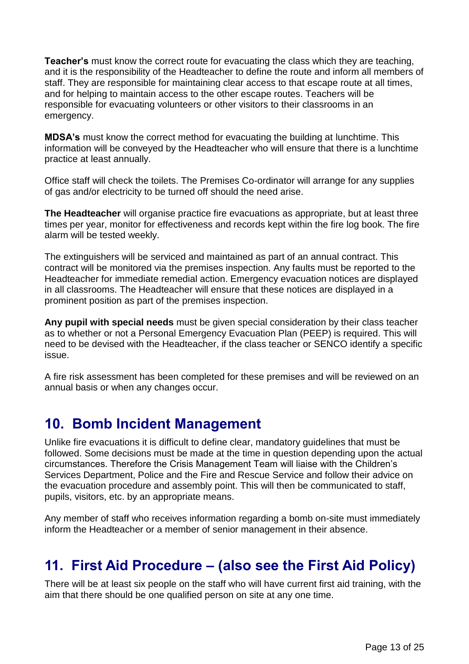**Teacher's** must know the correct route for evacuating the class which they are teaching, and it is the responsibility of the Headteacher to define the route and inform all members of staff. They are responsible for maintaining clear access to that escape route at all times, and for helping to maintain access to the other escape routes. Teachers will be responsible for evacuating volunteers or other visitors to their classrooms in an emergency.

**MDSA's** must know the correct method for evacuating the building at lunchtime. This information will be conveyed by the Headteacher who will ensure that there is a lunchtime practice at least annually.

Office staff will check the toilets. The Premises Co-ordinator will arrange for any supplies of gas and/or electricity to be turned off should the need arise.

**The Headteacher** will organise practice fire evacuations as appropriate, but at least three times per year, monitor for effectiveness and records kept within the fire log book. The fire alarm will be tested weekly.

The extinguishers will be serviced and maintained as part of an annual contract. This contract will be monitored via the premises inspection. Any faults must be reported to the Headteacher for immediate remedial action. Emergency evacuation notices are displayed in all classrooms. The Headteacher will ensure that these notices are displayed in a prominent position as part of the premises inspection.

**Any pupil with special needs** must be given special consideration by their class teacher as to whether or not a Personal Emergency Evacuation Plan (PEEP) is required. This will need to be devised with the Headteacher, if the class teacher or SENCO identify a specific issue.

A fire risk assessment has been completed for these premises and will be reviewed on an annual basis or when any changes occur.

## <span id="page-12-0"></span>**10. Bomb Incident Management**

Unlike fire evacuations it is difficult to define clear, mandatory guidelines that must be followed. Some decisions must be made at the time in question depending upon the actual circumstances. Therefore the Crisis Management Team will liaise with the Children's Services Department, Police and the Fire and Rescue Service and follow their advice on the evacuation procedure and assembly point. This will then be communicated to staff, pupils, visitors, etc. by an appropriate means.

Any member of staff who receives information regarding a bomb on-site must immediately inform the Headteacher or a member of senior management in their absence.

## <span id="page-12-1"></span>**11. First Aid Procedure – (also see the First Aid Policy)**

There will be at least six people on the staff who will have current first aid training, with the aim that there should be one qualified person on site at any one time.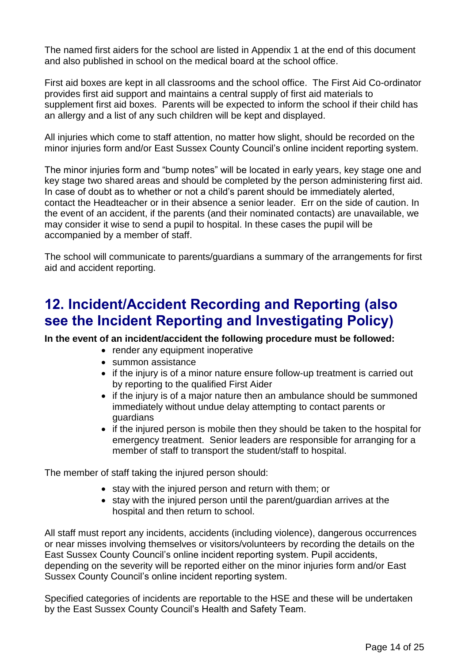The named first aiders for the school are listed in Appendix 1 at the end of this document and also published in school on the medical board at the school office.

First aid boxes are kept in all classrooms and the school office. The First Aid Co-ordinator provides first aid support and maintains a central supply of first aid materials to supplement first aid boxes. Parents will be expected to inform the school if their child has an allergy and a list of any such children will be kept and displayed.

All injuries which come to staff attention, no matter how slight, should be recorded on the minor injuries form and/or East Sussex County Council's online incident reporting system.

The minor injuries form and "bump notes" will be located in early years, key stage one and key stage two shared areas and should be completed by the person administering first aid. In case of doubt as to whether or not a child's parent should be immediately alerted, contact the Headteacher or in their absence a senior leader. Err on the side of caution. In the event of an accident, if the parents (and their nominated contacts) are unavailable, we may consider it wise to send a pupil to hospital. In these cases the pupil will be accompanied by a member of staff.

The school will communicate to parents/guardians a summary of the arrangements for first aid and accident reporting.

## <span id="page-13-0"></span>**12. Incident/Accident Recording and Reporting (also see the Incident Reporting and Investigating Policy)**

**In the event of an incident/accident the following procedure must be followed:**

- render any equipment inoperative
- summon assistance
- if the injury is of a minor nature ensure follow-up treatment is carried out by reporting to the qualified First Aider
- if the injury is of a major nature then an ambulance should be summoned immediately without undue delay attempting to contact parents or guardians
- if the injured person is mobile then they should be taken to the hospital for emergency treatment. Senior leaders are responsible for arranging for a member of staff to transport the student/staff to hospital.

The member of staff taking the injured person should:

- stay with the injured person and return with them; or
- stay with the injured person until the parent/guardian arrives at the hospital and then return to school.

All staff must report any incidents, accidents (including violence), dangerous occurrences or near misses involving themselves or visitors/volunteers by recording the details on the East Sussex County Council's online incident reporting system. Pupil accidents, depending on the severity will be reported either on the minor injuries form and/or East Sussex County Council's online incident reporting system.

Specified categories of incidents are reportable to the HSE and these will be undertaken by the East Sussex County Council's Health and Safety Team.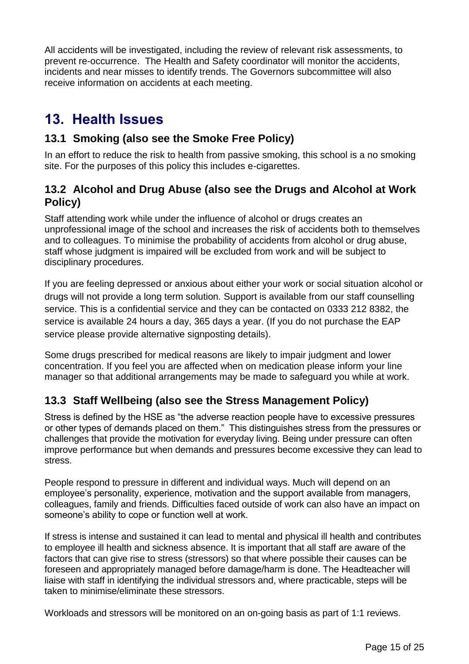All accidents will be investigated, including the review of relevant risk assessments, to prevent re-occurrence. The Health and Safety coordinator will monitor the accidents, incidents and near misses to identify trends. The Governors subcommittee will also receive information on accidents at each meeting.

## <span id="page-14-0"></span>**13. Health Issues**

### **13.1 Smoking (also see the Smoke Free Policy)**

In an effort to reduce the risk to health from passive smoking, this school is a no smoking site. For the purposes of this policy this includes e-cigarettes.

#### **13.2 Alcohol and Drug Abuse (also see the Drugs and Alcohol at Work Policy)**

Staff attending work while under the influence of alcohol or drugs creates an unprofessional image of the school and increases the risk of accidents both to themselves and to colleagues. To minimise the probability of accidents from alcohol or drug abuse, staff whose judgment is impaired will be excluded from work and will be subject to disciplinary procedures.

If you are feeling depressed or anxious about either your work or social situation alcohol or drugs will not provide a long term solution*.* Support is available from our staff counselling service. This is a confidential service and they can be contacted on 0333 212 8382, the service is available 24 hours a day, 365 days a year. (If you do not purchase the EAP service please provide alternative signposting details).

Some drugs prescribed for medical reasons are likely to impair judgment and lower concentration. If you feel you are affected when on medication please inform your line manager so that additional arrangements may be made to safeguard you while at work.

### **13.3 Staff Wellbeing (also see the Stress Management Policy)**

Stress is defined by the HSE as "the adverse reaction people have to excessive pressures or other types of demands placed on them." This distinguishes stress from the pressures or challenges that provide the motivation for everyday living. Being under pressure can often improve performance but when demands and pressures become excessive they can lead to stress.

People respond to pressure in different and individual ways. Much will depend on an employee's personality, experience, motivation and the support available from managers, colleagues, family and friends. Difficulties faced outside of work can also have an impact on someone's ability to cope or function well at work.

If stress is intense and sustained it can lead to mental and physical ill health and contributes to employee ill health and sickness absence. It is important that all staff are aware of the factors that can give rise to stress (stressors) so that where possible their causes can be foreseen and appropriately managed before damage/harm is done. The Headteacher will liaise with staff in identifying the individual stressors and, where practicable, steps will be taken to minimise/eliminate these stressors.

Workloads and stressors will be monitored on an on-going basis as part of 1:1 reviews.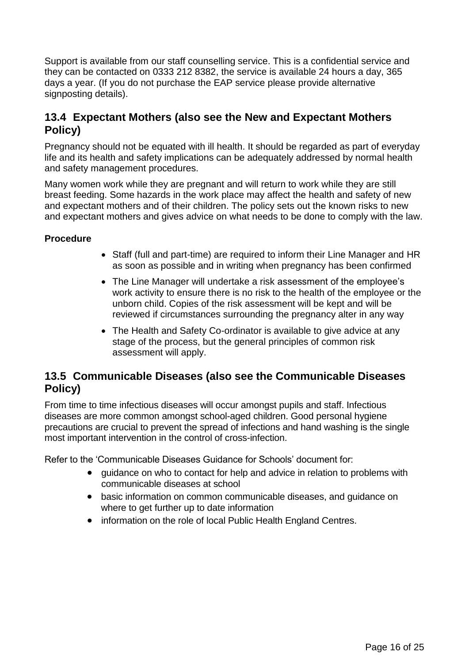Support is available from our staff counselling service. This is a confidential service and they can be contacted on 0333 212 8382, the service is available 24 hours a day, 365 days a year. (If you do not purchase the EAP service please provide alternative signposting details).

#### **13.4 Expectant Mothers (also see the New and Expectant Mothers Policy)**

Pregnancy should not be equated with ill health. It should be regarded as part of everyday life and its health and safety implications can be adequately addressed by normal health and safety management procedures.

Many women work while they are pregnant and will return to work while they are still breast feeding. Some hazards in the work place may affect the health and safety of new and expectant mothers and of their children. The policy sets out the known risks to new and expectant mothers and gives advice on what needs to be done to comply with the law.

#### **Procedure**

- Staff (full and part-time) are required to inform their Line Manager and HR as soon as possible and in writing when pregnancy has been confirmed
- The Line Manager will undertake a risk assessment of the employee's work activity to ensure there is no risk to the health of the employee or the unborn child. Copies of the risk assessment will be kept and will be reviewed if circumstances surrounding the pregnancy alter in any way
- The Health and Safety Co-ordinator is available to give advice at any stage of the process, but the general principles of common risk assessment will apply.

#### **13.5 Communicable Diseases (also see the Communicable Diseases Policy)**

From time to time infectious diseases will occur amongst pupils and staff. Infectious diseases are more common amongst school-aged children. Good personal hygiene precautions are crucial to prevent the spread of infections and hand washing is the single most important intervention in the control of cross-infection.

Refer to the 'Communicable Diseases Guidance for Schools' document for:

- quidance on who to contact for help and advice in relation to problems with communicable diseases at school
- basic information on common communicable diseases, and guidance on where to get further up to date information
- information on the role of local Public Health England Centres.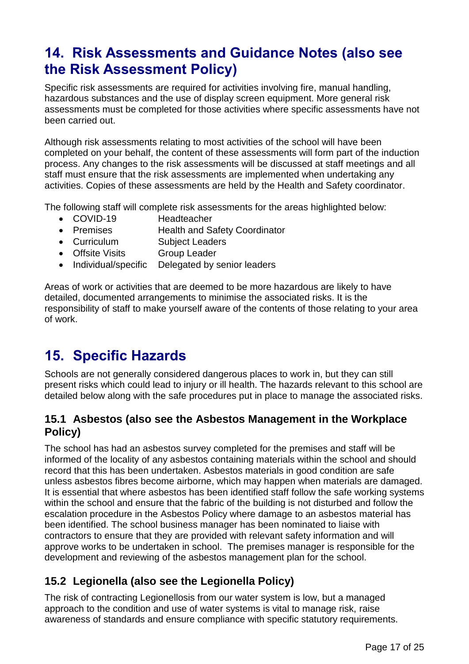## <span id="page-16-0"></span>**14. Risk Assessments and Guidance Notes (also see the Risk Assessment Policy)**

Specific risk assessments are required for activities involving fire, manual handling, hazardous substances and the use of display screen equipment. More general risk assessments must be completed for those activities where specific assessments have not been carried out.

Although risk assessments relating to most activities of the school will have been completed on your behalf, the content of these assessments will form part of the induction process. Any changes to the risk assessments will be discussed at staff meetings and all staff must ensure that the risk assessments are implemented when undertaking any activities. Copies of these assessments are held by the Health and Safety coordinator.

The following staff will complete risk assessments for the areas highlighted below:

- COVID-19 Headteacher
- Premises Health and Safety Coordinator
- Curriculum Subject Leaders
- Offsite Visits Group Leader
- Individual/specific Delegated by senior leaders

Areas of work or activities that are deemed to be more hazardous are likely to have detailed, documented arrangements to minimise the associated risks. It is the responsibility of staff to make yourself aware of the contents of those relating to your area of work.

# <span id="page-16-1"></span>**15. Specific Hazards**

Schools are not generally considered dangerous places to work in, but they can still present risks which could lead to injury or ill health. The hazards relevant to this school are detailed below along with the safe procedures put in place to manage the associated risks.

#### **15.1 Asbestos (also see the Asbestos Management in the Workplace Policy)**

The school has had an asbestos survey completed for the premises and staff will be informed of the locality of any asbestos containing materials within the school and should record that this has been undertaken. Asbestos materials in good condition are safe unless asbestos fibres become airborne, which may happen when materials are damaged. It is essential that where asbestos has been identified staff follow the safe working systems within the school and ensure that the fabric of the building is not disturbed and follow the escalation procedure in the Asbestos Policy where damage to an asbestos material has been identified. The school business manager has been nominated to liaise with contractors to ensure that they are provided with relevant safety information and will approve works to be undertaken in school. The premises manager is responsible for the development and reviewing of the asbestos management plan for the school.

### **15.2 Legionella (also see the Legionella Policy)**

The risk of contracting Legionellosis from our water system is low, but a managed approach to the condition and use of water systems is vital to manage risk, raise awareness of standards and ensure compliance with specific statutory requirements.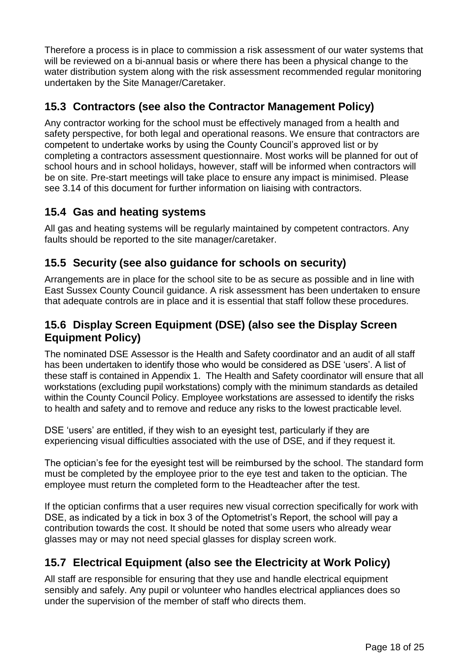Therefore a process is in place to commission a risk assessment of our water systems that will be reviewed on a bi-annual basis or where there has been a physical change to the water distribution system along with the risk assessment recommended regular monitoring undertaken by the Site Manager/Caretaker.

### **15.3 Contractors (see also the Contractor Management Policy)**

Any contractor working for the school must be effectively managed from a health and safety perspective, for both legal and operational reasons. We ensure that contractors are competent to undertake works by using the County Council's approved list or by completing a contractors assessment questionnaire. Most works will be planned for out of school hours and in school holidays, however, staff will be informed when contractors will be on site. Pre-start meetings will take place to ensure any impact is minimised. Please see 3.14 of this document for further information on liaising with contractors.

#### **15.4 Gas and heating systems**

All gas and heating systems will be regularly maintained by competent contractors. Any faults should be reported to the site manager/caretaker.

#### **15.5 Security (see also guidance for schools on security)**

Arrangements are in place for the school site to be as secure as possible and in line with East Sussex County Council guidance. A risk assessment has been undertaken to ensure that adequate controls are in place and it is essential that staff follow these procedures.

#### **15.6 Display Screen Equipment (DSE) (also see the Display Screen Equipment Policy)**

The nominated DSE Assessor is the Health and Safety coordinator and an audit of all staff has been undertaken to identify those who would be considered as DSE 'users'. A list of these staff is contained in Appendix 1. The Health and Safety coordinator will ensure that all workstations (excluding pupil workstations) comply with the minimum standards as detailed within the County Council Policy. Employee workstations are assessed to identify the risks to health and safety and to remove and reduce any risks to the lowest practicable level.

DSE 'users' are entitled, if they wish to an eyesight test, particularly if they are experiencing visual difficulties associated with the use of DSE, and if they request it.

The optician's fee for the eyesight test will be reimbursed by the school. The standard form must be completed by the employee prior to the eye test and taken to the optician. The employee must return the completed form to the Headteacher after the test.

If the optician confirms that a user requires new visual correction specifically for work with DSE, as indicated by a tick in box 3 of the Optometrist's Report, the school will pay a contribution towards the cost. It should be noted that some users who already wear glasses may or may not need special glasses for display screen work.

### **15.7 Electrical Equipment (also see the Electricity at Work Policy)**

All staff are responsible for ensuring that they use and handle electrical equipment sensibly and safely. Any pupil or volunteer who handles electrical appliances does so under the supervision of the member of staff who directs them.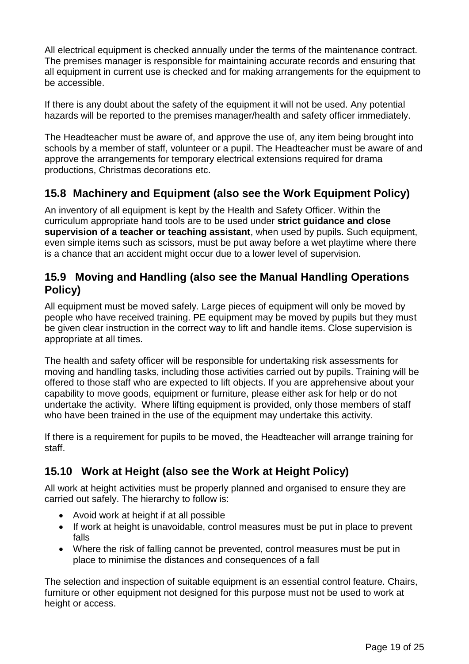All electrical equipment is checked annually under the terms of the maintenance contract. The premises manager is responsible for maintaining accurate records and ensuring that all equipment in current use is checked and for making arrangements for the equipment to be accessible.

If there is any doubt about the safety of the equipment it will not be used. Any potential hazards will be reported to the premises manager/health and safety officer immediately.

The Headteacher must be aware of, and approve the use of, any item being brought into schools by a member of staff, volunteer or a pupil. The Headteacher must be aware of and approve the arrangements for temporary electrical extensions required for drama productions, Christmas decorations etc.

#### **15.8 Machinery and Equipment (also see the Work Equipment Policy)**

An inventory of all equipment is kept by the Health and Safety Officer. Within the curriculum appropriate hand tools are to be used under **strict guidance and close supervision of a teacher or teaching assistant**, when used by pupils. Such equipment, even simple items such as scissors, must be put away before a wet playtime where there is a chance that an accident might occur due to a lower level of supervision.

#### **15.9 Moving and Handling (also see the Manual Handling Operations Policy)**

All equipment must be moved safely. Large pieces of equipment will only be moved by people who have received training. PE equipment may be moved by pupils but they must be given clear instruction in the correct way to lift and handle items. Close supervision is appropriate at all times.

The health and safety officer will be responsible for undertaking risk assessments for moving and handling tasks, including those activities carried out by pupils. Training will be offered to those staff who are expected to lift objects. If you are apprehensive about your capability to move goods, equipment or furniture, please either ask for help or do not undertake the activity. Where lifting equipment is provided, only those members of staff who have been trained in the use of the equipment may undertake this activity.

If there is a requirement for pupils to be moved, the Headteacher will arrange training for staff.

#### **15.10 Work at Height (also see the Work at Height Policy)**

All work at height activities must be properly planned and organised to ensure they are carried out safely. The hierarchy to follow is:

- Avoid work at height if at all possible
- If work at height is unavoidable, control measures must be put in place to prevent falls
- Where the risk of falling cannot be prevented, control measures must be put in place to minimise the distances and consequences of a fall

The selection and inspection of suitable equipment is an essential control feature. Chairs, furniture or other equipment not designed for this purpose must not be used to work at height or access.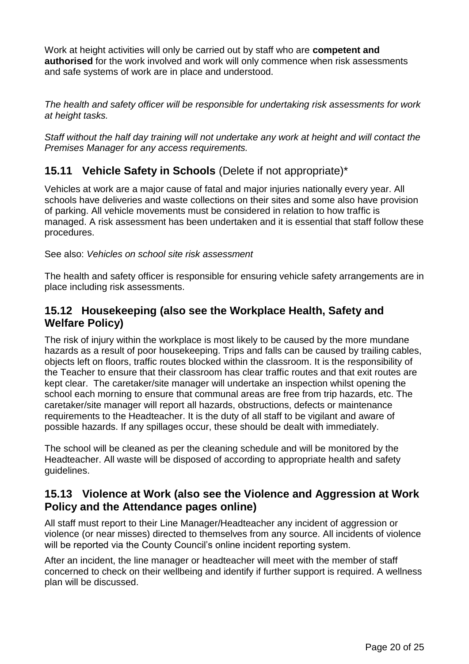Work at height activities will only be carried out by staff who are **competent and authorised** for the work involved and work will only commence when risk assessments and safe systems of work are in place and understood.

*The health and safety officer will be responsible for undertaking risk assessments for work at height tasks.* 

*Staff without the half day training will not undertake any work at height and will contact the Premises Manager for any access requirements.*

### **15.11 Vehicle Safety in Schools** (Delete if not appropriate)\*

Vehicles at work are a major cause of fatal and major injuries nationally every year. All schools have deliveries and waste collections on their sites and some also have provision of parking. All vehicle movements must be considered in relation to how traffic is managed. A risk assessment has been undertaken and it is essential that staff follow these procedures.

See also: *Vehicles on school site risk assessment*

The health and safety officer is responsible for ensuring vehicle safety arrangements are in place including risk assessments.

#### **15.12 Housekeeping (also see the Workplace Health, Safety and Welfare Policy)**

The risk of injury within the workplace is most likely to be caused by the more mundane hazards as a result of poor housekeeping. Trips and falls can be caused by trailing cables, objects left on floors, traffic routes blocked within the classroom. It is the responsibility of the Teacher to ensure that their classroom has clear traffic routes and that exit routes are kept clear. The caretaker/site manager will undertake an inspection whilst opening the school each morning to ensure that communal areas are free from trip hazards, etc. The caretaker/site manager will report all hazards, obstructions, defects or maintenance requirements to the Headteacher. It is the duty of all staff to be vigilant and aware of possible hazards. If any spillages occur, these should be dealt with immediately.

The school will be cleaned as per the cleaning schedule and will be monitored by the Headteacher. All waste will be disposed of according to appropriate health and safety guidelines.

#### **15.13 Violence at Work (also see the Violence and Aggression at Work Policy and the Attendance pages online)**

All staff must report to their Line Manager/Headteacher any incident of aggression or violence (or near misses) directed to themselves from any source. All incidents of violence will be reported via the County Council's online incident reporting system.

After an incident, the line manager or headteacher will meet with the member of staff concerned to check on their wellbeing and identify if further support is required. A wellness plan will be discussed.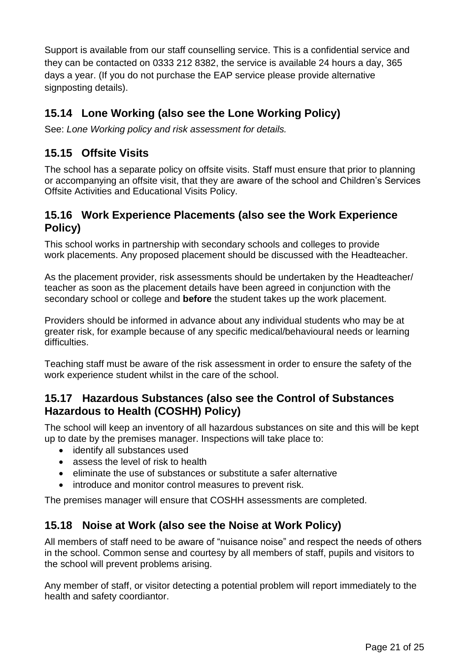Support is available from our staff counselling service. This is a confidential service and they can be contacted on 0333 212 8382, the service is available 24 hours a day, 365 days a year. (If you do not purchase the EAP service please provide alternative signposting details).

### **15.14 Lone Working (also see the Lone Working Policy)**

See: *Lone Working policy and risk assessment for details.* 

### **15.15 Offsite Visits**

The school has a separate policy on offsite visits. Staff must ensure that prior to planning or accompanying an offsite visit, that they are aware of the school and Children's Services Offsite Activities and Educational Visits Policy.

#### **15.16 Work Experience Placements (also see the Work Experience Policy)**

This school works in partnership with secondary schools and colleges to provide work placements. Any proposed placement should be discussed with the Headteacher.

As the placement provider, risk assessments should be undertaken by the Headteacher/ teacher as soon as the placement details have been agreed in conjunction with the secondary school or college and **before** the student takes up the work placement.

Providers should be informed in advance about any individual students who may be at greater risk, for example because of any specific medical/behavioural needs or learning difficulties.

Teaching staff must be aware of the risk assessment in order to ensure the safety of the work experience student whilst in the care of the school.

#### **15.17 Hazardous Substances (also see the Control of Substances Hazardous to Health (COSHH) Policy)**

The school will keep an inventory of all hazardous substances on site and this will be kept up to date by the premises manager. Inspections will take place to:

- identify all substances used
- assess the level of risk to health
- eliminate the use of substances or substitute a safer alternative
- introduce and monitor control measures to prevent risk.

The premises manager will ensure that COSHH assessments are completed.

### **15.18 Noise at Work (also see the Noise at Work Policy)**

All members of staff need to be aware of "nuisance noise" and respect the needs of others in the school. Common sense and courtesy by all members of staff, pupils and visitors to the school will prevent problems arising.

Any member of staff, or visitor detecting a potential problem will report immediately to the health and safety coordiantor.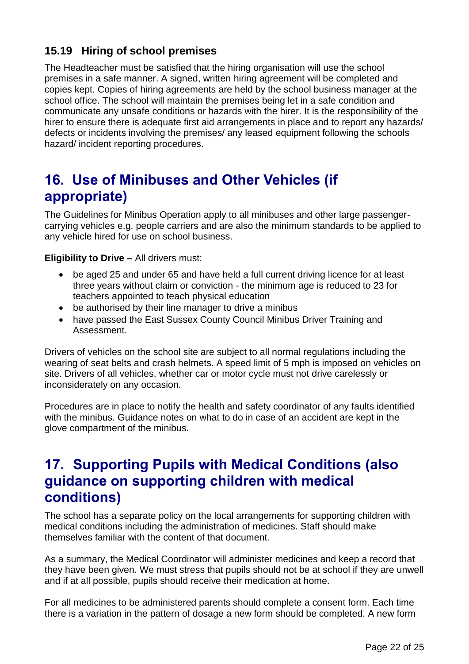### **15.19 Hiring of school premises**

The Headteacher must be satisfied that the hiring organisation will use the school premises in a safe manner. A signed, written hiring agreement will be completed and copies kept. Copies of hiring agreements are held by the school business manager at the school office. The school will maintain the premises being let in a safe condition and communicate any unsafe conditions or hazards with the hirer. It is the responsibility of the hirer to ensure there is adequate first aid arrangements in place and to report any hazards/ defects or incidents involving the premises/ any leased equipment following the schools hazard/ incident reporting procedures.

## <span id="page-21-0"></span>**16. Use of Minibuses and Other Vehicles (if appropriate)**

The Guidelines for Minibus Operation apply to all minibuses and other large passengercarrying vehicles e.g. people carriers and are also the minimum standards to be applied to any vehicle hired for use on school business.

**Eligibility to Drive –** All drivers must:

- be aged 25 and under 65 and have held a full current driving licence for at least three years without claim or conviction - the minimum age is reduced to 23 for teachers appointed to teach physical education
- be authorised by their line manager to drive a minibus
- have passed the East Sussex County Council Minibus Driver Training and Assessment.

Drivers of vehicles on the school site are subject to all normal regulations including the wearing of seat belts and crash helmets. A speed limit of 5 mph is imposed on vehicles on site. Drivers of all vehicles, whether car or motor cycle must not drive carelessly or inconsiderately on any occasion.

Procedures are in place to notify the health and safety coordinator of any faults identified with the minibus. Guidance notes on what to do in case of an accident are kept in the glove compartment of the minibus.

### <span id="page-21-1"></span>**17. Supporting Pupils with Medical Conditions (also guidance on supporting children with medical conditions)**

The school has a separate policy on the local arrangements for supporting children with medical conditions including the administration of medicines. Staff should make themselves familiar with the content of that document.

As a summary, the Medical Coordinator will administer medicines and keep a record that they have been given. We must stress that pupils should not be at school if they are unwell and if at all possible, pupils should receive their medication at home.

For all medicines to be administered parents should complete a consent form. Each time there is a variation in the pattern of dosage a new form should be completed. A new form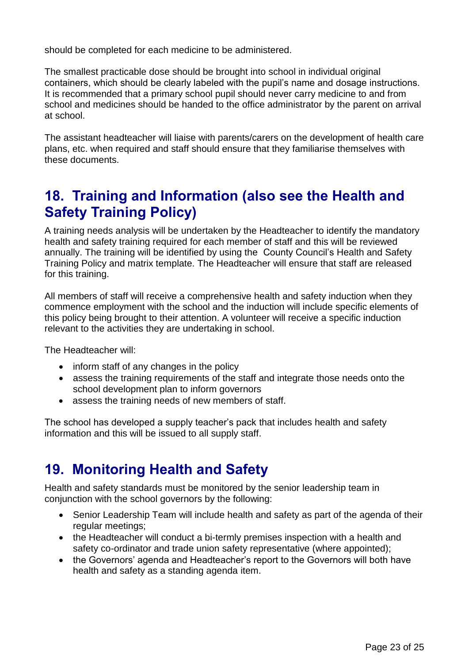should be completed for each medicine to be administered.

The smallest practicable dose should be brought into school in individual original containers, which should be clearly labeled with the pupil's name and dosage instructions. It is recommended that a primary school pupil should never carry medicine to and from school and medicines should be handed to the office administrator by the parent on arrival at school.

The assistant headteacher will liaise with parents/carers on the development of health care plans, etc. when required and staff should ensure that they familiarise themselves with these documents.

## <span id="page-22-0"></span>**18. Training and Information (also see the Health and Safety Training Policy)**

A training needs analysis will be undertaken by the Headteacher to identify the mandatory health and safety training required for each member of staff and this will be reviewed annually. The training will be identified by using the County Council's Health and Safety Training Policy and matrix template. The Headteacher will ensure that staff are released for this training.

All members of staff will receive a comprehensive health and safety induction when they commence employment with the school and the induction will include specific elements of this policy being brought to their attention. A volunteer will receive a specific induction relevant to the activities they are undertaking in school.

The Headteacher will:

- inform staff of any changes in the policy
- assess the training requirements of the staff and integrate those needs onto the school development plan to inform governors
- assess the training needs of new members of staff.

The school has developed a supply teacher's pack that includes health and safety information and this will be issued to all supply staff.

## <span id="page-22-1"></span>**19. Monitoring Health and Safety**

Health and safety standards must be monitored by the senior leadership team in conjunction with the school governors by the following:

- Senior Leadership Team will include health and safety as part of the agenda of their regular meetings;
- the Headteacher will conduct a bi-termly premises inspection with a health and safety co-ordinator and trade union safety representative (where appointed);
- the Governors' agenda and Headteacher's report to the Governors will both have health and safety as a standing agenda item.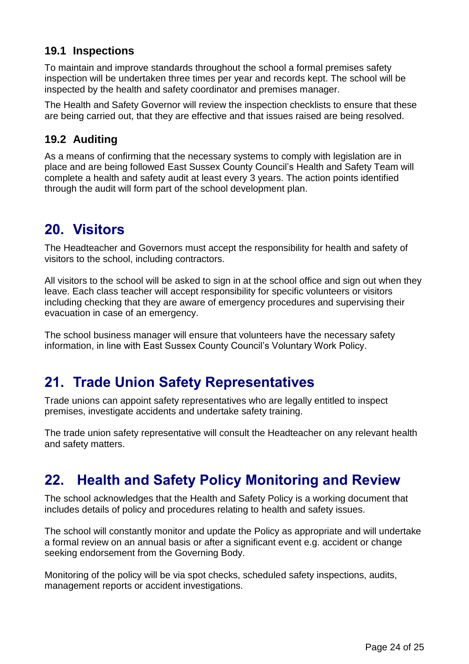### **19.1 Inspections**

To maintain and improve standards throughout the school a formal premises safety inspection will be undertaken three times per year and records kept. The school will be inspected by the health and safety coordinator and premises manager.

The Health and Safety Governor will review the inspection checklists to ensure that these are being carried out, that they are effective and that issues raised are being resolved.

#### **19.2 Auditing**

As a means of confirming that the necessary systems to comply with legislation are in place and are being followed East Sussex County Council's Health and Safety Team will complete a health and safety audit at least every 3 years. The action points identified through the audit will form part of the school development plan.

## <span id="page-23-0"></span>**20. Visitors**

The Headteacher and Governors must accept the responsibility for health and safety of visitors to the school, including contractors.

All visitors to the school will be asked to sign in at the school office and sign out when they leave. Each class teacher will accept responsibility for specific volunteers or visitors including checking that they are aware of emergency procedures and supervising their evacuation in case of an emergency.

The school business manager will ensure that volunteers have the necessary safety information, in line with East Sussex County Council's Voluntary Work Policy.

## <span id="page-23-1"></span>**21. Trade Union Safety Representatives**

Trade unions can appoint safety representatives who are legally entitled to inspect premises, investigate accidents and undertake safety training.

The trade union safety representative will consult the Headteacher on any relevant health and safety matters.

## <span id="page-23-2"></span>**22. Health and Safety Policy Monitoring and Review**

The school acknowledges that the Health and Safety Policy is a working document that includes details of policy and procedures relating to health and safety issues.

The school will constantly monitor and update the Policy as appropriate and will undertake a formal review on an annual basis or after a significant event e.g. accident or change seeking endorsement from the Governing Body.

Monitoring of the policy will be via spot checks, scheduled safety inspections, audits, management reports or accident investigations.